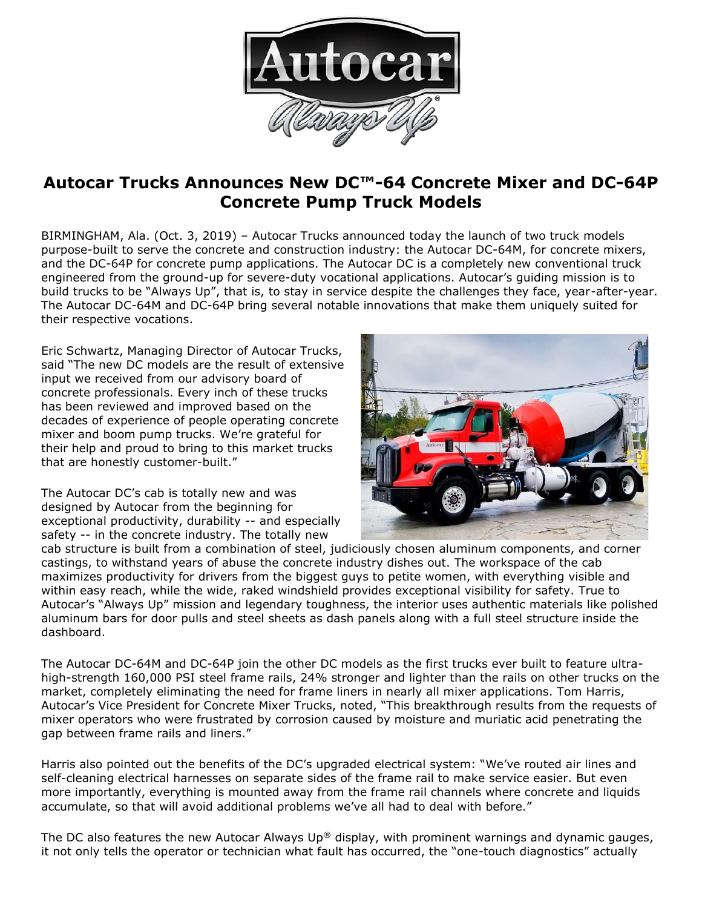

## **Autocar Trucks Announces New DC™-64 Concrete Mixer and DC-64P Concrete Pump Truck Models**

BIRMINGHAM, Ala. (Oct. 3, 2019) – Autocar Trucks announced today the launch of two truck models purpose-built to serve the concrete and construction industry: the Autocar DC-64M, for concrete mixers, and the DC-64P for concrete pump applications. The Autocar DC is a completely new conventional truck engineered from the ground-up for severe-duty vocational applications. Autocar's guiding mission is to build trucks to be "Always Up", that is, to stay in service despite the challenges they face, year-after-year. The Autocar DC-64M and DC-64P bring several notable innovations that make them uniquely suited for their respective vocations.

Eric Schwartz, Managing Director of Autocar Trucks, said "The new DC models are the result of extensive input we received from our advisory board of concrete professionals. Every inch of these trucks has been reviewed and improved based on the decades of experience of people operating concrete mixer and boom pump trucks. We're grateful for their help and proud to bring to this market trucks that are honestly customer-built."

The Autocar DC's cab is totally new and was designed by Autocar from the beginning for exceptional productivity, durability -- and especially safety -- in the concrete industry. The totally new



cab structure is built from a combination of steel, judiciously chosen aluminum components, and corner castings, to withstand years of abuse the concrete industry dishes out. The workspace of the cab maximizes productivity for drivers from the biggest guys to petite women, with everything visible and within easy reach, while the wide, raked windshield provides exceptional visibility for safety. True to Autocar's "Always Up" mission and legendary toughness, the interior uses authentic materials like polished aluminum bars for door pulls and steel sheets as dash panels along with a full steel structure inside the dashboard.

The Autocar DC-64M and DC-64P join the other DC models as the first trucks ever built to feature ultrahigh-strength 160,000 PSI steel frame rails, 24% stronger and lighter than the rails on other trucks on the market, completely eliminating the need for frame liners in nearly all mixer applications. Tom Harris, Autocar's Vice President for Concrete Mixer Trucks, noted, "This breakthrough results from the requests of mixer operators who were frustrated by corrosion caused by moisture and muriatic acid penetrating the gap between frame rails and liners."

Harris also pointed out the benefits of the DC's upgraded electrical system: "We've routed air lines and self-cleaning electrical harnesses on separate sides of the frame rail to make service easier. But even more importantly, everything is mounted away from the frame rail channels where concrete and liquids accumulate, so that will avoid additional problems we've all had to deal with before."

The DC also features the new Autocar Always  $Up^{\circledast}$  display, with prominent warnings and dynamic gauges, it not only tells the operator or technician what fault has occurred, the "one-touch diagnostics" actually